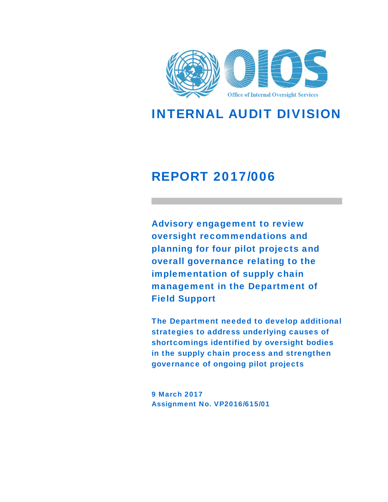

INTERNAL AUDIT DIVISION

# REPORT 2017/006

Advisory engagement to review oversight recommendations and planning for four pilot projects and overall governance relating to the implementation of supply chain management in the Department of Field Support

The Department needed to develop additional strategies to address underlying causes of shortcomings identified by oversight bodies in the supply chain process and strengthen governance of ongoing pilot projects

9 March 2017 Assignment No. VP2016/615/01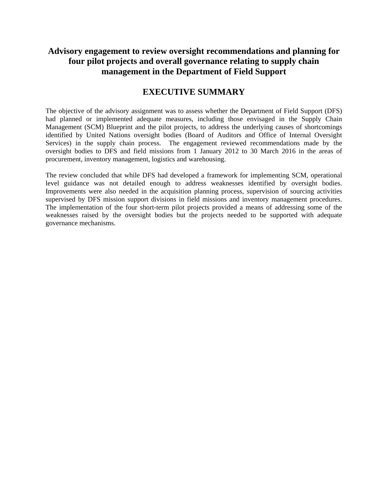### **Advisory engagement to review oversight recommendations and planning for four pilot projects and overall governance relating to supply chain management in the Department of Field Support**

### **EXECUTIVE SUMMARY**

The objective of the advisory assignment was to assess whether the Department of Field Support (DFS) had planned or implemented adequate measures, including those envisaged in the Supply Chain Management (SCM) Blueprint and the pilot projects, to address the underlying causes of shortcomings identified by United Nations oversight bodies (Board of Auditors and Office of Internal Oversight Services) in the supply chain process. The engagement reviewed recommendations made by the oversight bodies to DFS and field missions from 1 January 2012 to 30 March 2016 in the areas of procurement, inventory management, logistics and warehousing.

The review concluded that while DFS had developed a framework for implementing SCM, operational level guidance was not detailed enough to address weaknesses identified by oversight bodies. Improvements were also needed in the acquisition planning process, supervision of sourcing activities supervised by DFS mission support divisions in field missions and inventory management procedures. The implementation of the four short-term pilot projects provided a means of addressing some of the weaknesses raised by the oversight bodies but the projects needed to be supported with adequate governance mechanisms.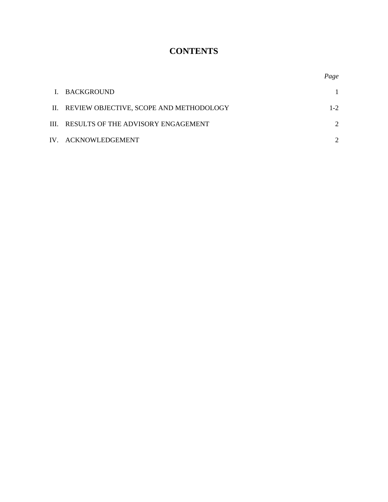# **CONTENTS**

*Page*

| I. BACKGROUND                               |         |
|---------------------------------------------|---------|
| II. REVIEW OBJECTIVE, SCOPE AND METHODOLOGY | $1 - 2$ |
| III. RESULTS OF THE ADVISORY ENGAGEMENT     |         |
| IV. ACKNOWLEDGEMENT                         |         |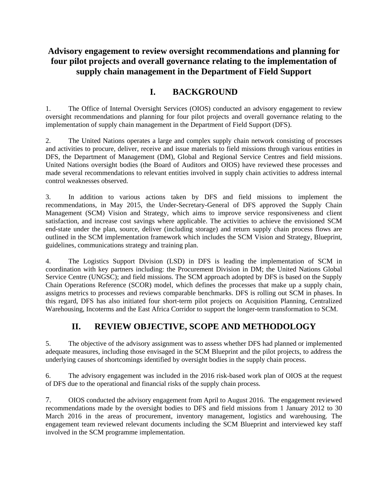## **Advisory engagement to review oversight recommendations and planning for four pilot projects and overall governance relating to the implementation of supply chain management in the Department of Field Support**

# **I. BACKGROUND**

1. The Office of Internal Oversight Services (OIOS) conducted an advisory engagement to review oversight recommendations and planning for four pilot projects and overall governance relating to the implementation of supply chain management in the Department of Field Support (DFS).

2. The United Nations operates a large and complex supply chain network consisting of processes and activities to procure, deliver, receive and issue materials to field missions through various entities in DFS, the Department of Management (DM), Global and Regional Service Centres and field missions. United Nations oversight bodies (the Board of Auditors and OIOS) have reviewed these processes and made several recommendations to relevant entities involved in supply chain activities to address internal control weaknesses observed.

3. In addition to various actions taken by DFS and field missions to implement the recommendations, in May 2015, the Under-Secretary-General of DFS approved the Supply Chain Management (SCM) Vision and Strategy, which aims to improve service responsiveness and client satisfaction, and increase cost savings where applicable. The activities to achieve the envisioned SCM end-state under the plan, source, deliver (including storage) and return supply chain process flows are outlined in the SCM implementation framework which includes the SCM Vision and Strategy, Blueprint, guidelines, communications strategy and training plan.

4. The Logistics Support Division (LSD) in DFS is leading the implementation of SCM in coordination with key partners including: the Procurement Division in DM; the United Nations Global Service Centre (UNGSC); and field missions. The SCM approach adopted by DFS is based on the Supply Chain Operations Reference (SCOR) model, which defines the processes that make up a supply chain, assigns metrics to processes and reviews comparable benchmarks. DFS is rolling out SCM in phases. In this regard, DFS has also initiated four short-term pilot projects on Acquisition Planning, Centralized Warehousing, Incoterms and the East Africa Corridor to support the longer-term transformation to SCM.

# **II. REVIEW OBJECTIVE, SCOPE AND METHODOLOGY**

5. The objective of the advisory assignment was to assess whether DFS had planned or implemented adequate measures, including those envisaged in the SCM Blueprint and the pilot projects, to address the underlying causes of shortcomings identified by oversight bodies in the supply chain process.

6. The advisory engagement was included in the 2016 risk-based work plan of OIOS at the request of DFS due to the operational and financial risks of the supply chain process.

7. OIOS conducted the advisory engagement from April to August 2016. The engagement reviewed recommendations made by the oversight bodies to DFS and field missions from 1 January 2012 to 30 March 2016 in the areas of procurement, inventory management, logistics and warehousing. The engagement team reviewed relevant documents including the SCM Blueprint and interviewed key staff involved in the SCM programme implementation.